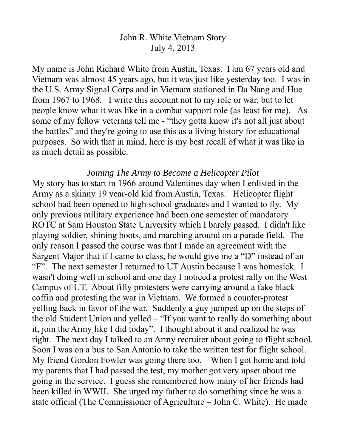# John R. White Vietnam Story July 4, 2013

My name is John Richard White from Austin, Texas. I am 67 years old and Vietnam was almost 45 years ago, but it was just like yesterday too. I was in the U.S. Army Signal Corps and in Vietnam stationed in Da Nang and Hue from 1967 to 1968. I write this account not to my role or war, but to let people know what it was like in a combat support role (as least for me). As some of my fellow veterans tell me - "they gotta know it's not all just about the battles" and they're going to use this as a living history for educational purposes. So with that in mind, here is my best recall of what it was like in as much detail as possible.

# *Joining The Army to Become a Helicopter Pilot*

My story has to start in 1966 around Valentines day when I enlisted in the Army as a skinny 19 year-old kid from Austin, Texas. Helicopter flight school had been opened to high school graduates and I wanted to fly. My only previous military experience had been one semester of mandatory ROTC at Sam Houston State University which I barely passed. I didn't like playing soldier, shining boots, and marching around on a parade field. The only reason I passed the course was that I made an agreement with the Sargent Major that if I came to class, he would give me a "D" instead of an "F". The next semester I returned to UT Austin because I was homesick. I wasn't doing well in school and one day I noticed a protest rally on the West Campus of UT. About fifty protesters were carrying around a fake black coffin and protesting the war in Vietnam. We formed a counter-protest yelling back in favor of the war. Suddenly a guy jumped up on the steps of the old Student Union and yelled – "If you want to really do something about it, join the Army like I did today". I thought about it and realized he was right. The next day I talked to an Army recruiter about going to flight school. Soon I was on a bus to San Antonio to take the written test for flight school. My friend Gordon Fowler was going there too. When I got home and told my parents that I had passed the test, my mother got very upset about me going in the service. I guess she remembered how many of her friends had been killed in WWII. She urged my father to do something since he was a state official (The Commissioner of Agriculture – John C. White). He made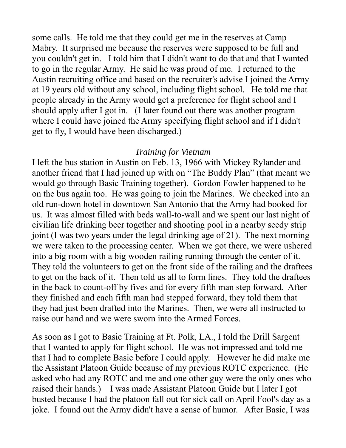some calls. He told me that they could get me in the reserves at Camp Mabry. It surprised me because the reserves were supposed to be full and you couldn't get in. I told him that I didn't want to do that and that I wanted to go in the regular Army. He said he was proud of me. I returned to the Austin recruiting office and based on the recruiter's advise I joined the Army at 19 years old without any school, including flight school. He told me that people already in the Army would get a preference for flight school and I should apply after I got in. (I later found out there was another program where I could have joined the Army specifying flight school and if I didn't get to fly, I would have been discharged.)

# *Training for Vietnam*

I left the bus station in Austin on Feb. 13, 1966 with Mickey Rylander and another friend that I had joined up with on "The Buddy Plan" (that meant we would go through Basic Training together). Gordon Fowler happened to be on the bus again too. He was going to join the Marines. We checked into an old run-down hotel in downtown San Antonio that the Army had booked for us. It was almost filled with beds wall-to-wall and we spent our last night of civilian life drinking beer together and shooting pool in a nearby seedy strip joint (I was two years under the legal drinking age of 21). The next morning we were taken to the processing center. When we got there, we were ushered into a big room with a big wooden railing running through the center of it. They told the volunteers to get on the front side of the railing and the draftees to get on the back of it. Then told us all to form lines. They told the draftees in the back to count-off by fives and for every fifth man step forward. After they finished and each fifth man had stepped forward, they told them that they had just been drafted into the Marines. Then, we were all instructed to raise our hand and we were sworn into the Armed Forces.

As soon as I got to Basic Training at Ft. Polk, LA., I told the Drill Sargent that I wanted to apply for flight school. He was not impressed and told me that I had to complete Basic before I could apply. However he did make me the Assistant Platoon Guide because of my previous ROTC experience. (He asked who had any ROTC and me and one other guy were the only ones who raised their hands.) I was made Assistant Platoon Guide but I later I got busted because I had the platoon fall out for sick call on April Fool's day as a joke. I found out the Army didn't have a sense of humor. After Basic, I was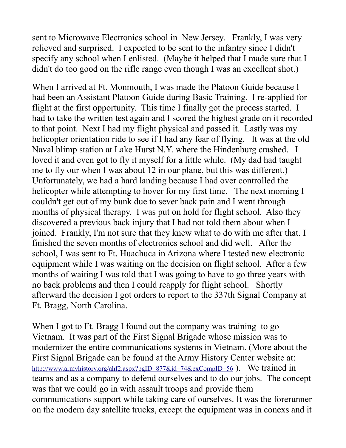sent to Microwave Electronics school in New Jersey. Frankly, I was very relieved and surprised. I expected to be sent to the infantry since I didn't specify any school when I enlisted. (Maybe it helped that I made sure that I didn't do too good on the rifle range even though I was an excellent shot.)

When I arrived at Ft. Monmouth, I was made the Platoon Guide because I had been an Assistant Platoon Guide during Basic Training. I re-applied for flight at the first opportunity. This time I finally got the process started. I had to take the written test again and I scored the highest grade on it recorded to that point. Next I had my flight physical and passed it. Lastly was my helicopter orientation ride to see if I had any fear of flying. It was at the old Naval blimp station at Lake Hurst N.Y. where the Hindenburg crashed. I loved it and even got to fly it myself for a little while. (My dad had taught me to fly our when I was about 12 in our plane, but this was different.) Unfortunately, we had a hard landing because I had over controlled the helicopter while attempting to hover for my first time. The next morning I couldn't get out of my bunk due to sever back pain and I went through months of physical therapy. I was put on hold for flight school. Also they discovered a previous back injury that I had not told them about when I joined. Frankly, I'm not sure that they knew what to do with me after that. I finished the seven months of electronics school and did well. After the school, I was sent to Ft. Huachuca in Arizona where I tested new electronic equipment while I was waiting on the decision on flight school. After a few months of waiting I was told that I was going to have to go three years with no back problems and then I could reapply for flight school. Shortly afterward the decision I got orders to report to the 337th Signal Company at Ft. Bragg, North Carolina.

When I got to Ft. Bragg I found out the company was training to go Vietnam. It was part of the First Signal Brigade whose mission was to modernizer the entire communications systems in Vietnam. (More about the First Signal Brigade can be found at the Army History Center website at: http://www.armyhistory.org/ahf2.aspx?pgID=877&id=74&exCompID=56). We trained in teams and as a company to defend ourselves and to do our jobs. The concept was that we could go in with assault troops and provide them communications support while taking care of ourselves. It was the forerunner on the modern day satellite trucks, except the equipment was in conexs and it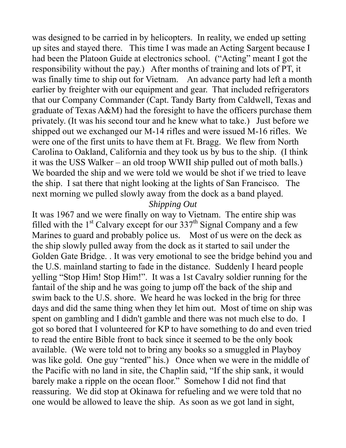was designed to be carried in by helicopters. In reality, we ended up setting up sites and stayed there. This time I was made an Acting Sargent because I had been the Platoon Guide at electronics school. ("Acting" meant I got the responsibility without the pay.) After months of training and lots of PT, it was finally time to ship out for Vietnam. An advance party had left a month earlier by freighter with our equipment and gear. That included refrigerators that our Company Commander (Capt. Tandy Barty from Caldwell, Texas and graduate of Texas A&M) had the foresight to have the officers purchase them privately. (It was his second tour and he knew what to take.) Just before we shipped out we exchanged our M-14 rifles and were issued M-16 rifles. We were one of the first units to have them at Ft. Bragg. We flew from North Carolina to Oakland, California and they took us by bus to the ship. (I think it was the USS Walker – an old troop WWII ship pulled out of moth balls.) We boarded the ship and we were told we would be shot if we tried to leave the ship. I sat there that night looking at the lights of San Francisco. The next morning we pulled slowly away from the dock as a band played.

### *Shipping Out*

It was 1967 and we were finally on way to Vietnam. The entire ship was filled with the  $1<sup>st</sup>$  Calvary except for our 337<sup>th</sup> Signal Company and a few Marines to guard and probably police us. Most of us were on the deck as the ship slowly pulled away from the dock as it started to sail under the Golden Gate Bridge. . It was very emotional to see the bridge behind you and the U.S. mainland starting to fade in the distance. Suddenly I heard people yelling "Stop Him! Stop Him!". It was a 1st Cavalry soldier running for the fantail of the ship and he was going to jump off the back of the ship and swim back to the U.S. shore. We heard he was locked in the brig for three days and did the same thing when they let him out. Most of time on ship was spent on gambling and I didn't gamble and there was not much else to do. I got so bored that I volunteered for KP to have something to do and even tried to read the entire Bible front to back since it seemed to be the only book available. (We were told not to bring any books so a smuggled in Playboy was like gold. One guy "rented" his.) Once when we were in the middle of the Pacific with no land in site, the Chaplin said, "If the ship sank, it would barely make a ripple on the ocean floor." Somehow I did not find that reassuring. We did stop at Okinawa for refueling and we were told that no one would be allowed to leave the ship. As soon as we got land in sight,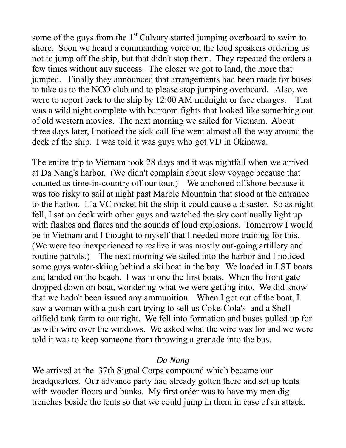some of the guys from the  $1<sup>st</sup>$  Calvary started jumping overboard to swim to shore. Soon we heard a commanding voice on the loud speakers ordering us not to jump off the ship, but that didn't stop them. They repeated the orders a few times without any success. The closer we got to land, the more that jumped. Finally they announced that arrangements had been made for buses to take us to the NCO club and to please stop jumping overboard. Also, we were to report back to the ship by 12:00 AM midnight or face charges. That was a wild night complete with barroom fights that looked like something out of old western movies. The next morning we sailed for Vietnam. About three days later, I noticed the sick call line went almost all the way around the deck of the ship. I was told it was guys who got VD in Okinawa.

The entire trip to Vietnam took 28 days and it was nightfall when we arrived at Da Nang's harbor. (We didn't complain about slow voyage because that counted as time-in-country off our tour.) We anchored offshore because it was too risky to sail at night past Marble Mountain that stood at the entrance to the harbor. If a VC rocket hit the ship it could cause a disaster. So as night fell, I sat on deck with other guys and watched the sky continually light up with flashes and flares and the sounds of loud explosions. Tomorrow I would be in Vietnam and I thought to myself that I needed more training for this. (We were too inexperienced to realize it was mostly out-going artillery and routine patrols.) The next morning we sailed into the harbor and I noticed some guys water-skiing behind a ski boat in the bay. We loaded in LST boats and landed on the beach. I was in one the first boats. When the front gate dropped down on boat, wondering what we were getting into. We did know that we hadn't been issued any ammunition. When I got out of the boat, I saw a woman with a push cart trying to sell us Coke-Cola's and a Shell oilfield tank farm to our right. We fell into formation and buses pulled up for us with wire over the windows. We asked what the wire was for and we were told it was to keep someone from throwing a grenade into the bus.

# *Da Nang*

We arrived at the 37th Signal Corps compound which became our headquarters. Our advance party had already gotten there and set up tents with wooden floors and bunks. My first order was to have my men dig trenches beside the tents so that we could jump in them in case of an attack.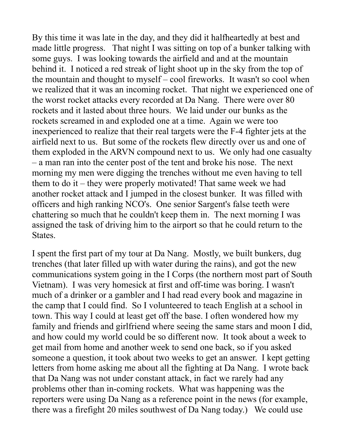By this time it was late in the day, and they did it halfheartedly at best and made little progress. That night I was sitting on top of a bunker talking with some guys. I was looking towards the airfield and and at the mountain behind it. I noticed a red streak of light shoot up in the sky from the top of the mountain and thought to myself – cool fireworks. It wasn't so cool when we realized that it was an incoming rocket. That night we experienced one of the worst rocket attacks every recorded at Da Nang. There were over 80 rockets and it lasted about three hours. We laid under our bunks as the rockets screamed in and exploded one at a time. Again we were too inexperienced to realize that their real targets were the F-4 fighter jets at the airfield next to us. But some of the rockets flew directly over us and one of them exploded in the ARVN compound next to us. We only had one casualty – a man ran into the center post of the tent and broke his nose. The next morning my men were digging the trenches without me even having to tell them to do it – they were properly motivated! That same week we had another rocket attack and I jumped in the closest bunker. It was filled with officers and high ranking NCO's. One senior Sargent's false teeth were chattering so much that he couldn't keep them in. The next morning I was assigned the task of driving him to the airport so that he could return to the States.

I spent the first part of my tour at Da Nang. Mostly, we built bunkers, dug trenches (that later filled up with water during the rains), and got the new communications system going in the I Corps (the northern most part of South Vietnam). I was very homesick at first and off-time was boring. I wasn't much of a drinker or a gambler and I had read every book and magazine in the camp that I could find. So I volunteered to teach English at a school in town. This way I could at least get off the base. I often wondered how my family and friends and girlfriend where seeing the same stars and moon I did, and how could my world could be so different now. It took about a week to get mail from home and another week to send one back, so if you asked someone a question, it took about two weeks to get an answer. I kept getting letters from home asking me about all the fighting at Da Nang. I wrote back that Da Nang was not under constant attack, in fact we rarely had any problems other than in-coming rockets. What was happening was the reporters were using Da Nang as a reference point in the news (for example, there was a firefight 20 miles southwest of Da Nang today.) We could use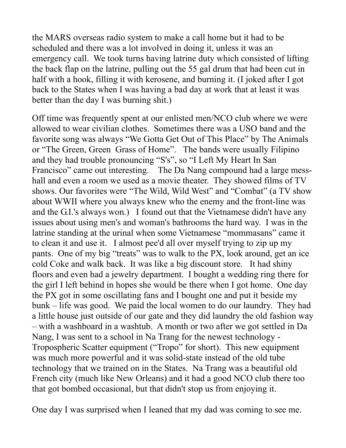the MARS overseas radio system to make a call home but it had to be scheduled and there was a lot involved in doing it, unless it was an emergency call. We took turns having latrine duty which consisted of lifting the back flap on the latrine, pulling out the 55 gal drum that had been cut in half with a hook, filling it with kerosene, and burning it. (I joked after I got back to the States when I was having a bad day at work that at least it was better than the day I was burning shit.)

Off time was frequently spent at our enlisted men/NCO club where we were allowed to wear civilian clothes. Sometimes there was a USO band and the favorite song was always "We Gotta Get Out of This Place" by The Animals or "The Green, Green Grass of Home". The bands were usually Filipino and they had trouble pronouncing "S's", so "I Left My Heart In San Francisco" came out interesting. The Da Nang compound had a large messhall and even a room we used as a movie theater. They showed films of TV shows. Our favorites were "The Wild, Wild West" and "Combat" (a TV show about WWII where you always knew who the enemy and the front-line was and the G.I.'s always won.) I found out that the Vietnamese didn't have any issues about using men's and woman's bathrooms the hard way. I was in the latrine standing at the urinal when some Vietnamese "mommasans" came it to clean it and use it. I almost pee'd all over myself trying to zip up my pants. One of my big "treats" was to walk to the PX, look around, get an ice cold Coke and walk back. It was like a big discount store. It had shiny floors and even had a jewelry department. I bought a wedding ring there for the girl I left behind in hopes she would be there when I got home. One day the PX got in some oscillating fans and I bought one and put it beside my bunk – life was good. We paid the local women to do our laundry. They had a little house just outside of our gate and they did laundry the old fashion way – with a washboard in a washtub. A month or two after we got settled in Da Nang, I was sent to a school in Na Trang for the newest technology - Tropospheric Scatter equipment ("Tropo" for short). This new equipment was much more powerful and it was solid-state instead of the old tube technology that we trained on in the States. Na Trang was a beautiful old French city (much like New Orleans) and it had a good NCO club there too that got bombed occasional, but that didn't stop us from enjoying it.

One day I was surprised when I leaned that my dad was coming to see me.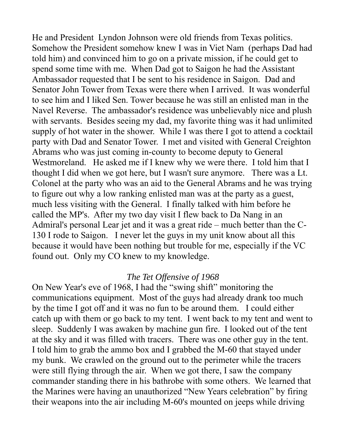He and President Lyndon Johnson were old friends from Texas politics. Somehow the President somehow knew I was in Viet Nam (perhaps Dad had told him) and convinced him to go on a private mission, if he could get to spend some time with me. When Dad got to Saigon he had the Assistant Ambassador requested that I be sent to his residence in Saigon. Dad and Senator John Tower from Texas were there when I arrived. It was wonderful to see him and I liked Sen. Tower because he was still an enlisted man in the Navel Reverse. The ambassador's residence was unbelievably nice and plush with servants. Besides seeing my dad, my favorite thing was it had unlimited supply of hot water in the shower. While I was there I got to attend a cocktail party with Dad and Senator Tower. I met and visited with General Creighton Abrams who was just coming in-county to become deputy to General Westmoreland. He asked me if I knew why we were there. I told him that I thought I did when we got here, but I wasn't sure anymore. There was a Lt. Colonel at the party who was an aid to the General Abrams and he was trying to figure out why a low ranking enlisted man was at the party as a guest, much less visiting with the General. I finally talked with him before he called the MP's. After my two day visit I flew back to Da Nang in an Admiral's personal Lear jet and it was a great ride – much better than the C-130 I rode to Saigon. I never let the guys in my unit know about all this because it would have been nothing but trouble for me, especially if the VC found out. Only my CO knew to my knowledge.

## *The Tet Offensive of 1968*

On New Year's eve of 1968, I had the "swing shift" monitoring the communications equipment. Most of the guys had already drank too much by the time I got off and it was no fun to be around them. I could either catch up with them or go back to my tent. I went back to my tent and went to sleep. Suddenly I was awaken by machine gun fire. I looked out of the tent at the sky and it was filled with tracers. There was one other guy in the tent. I told him to grab the ammo box and I grabbed the M-60 that stayed under my bunk. We crawled on the ground out to the perimeter while the tracers were still flying through the air. When we got there, I saw the company commander standing there in his bathrobe with some others. We learned that the Marines were having an unauthorized "New Years celebration" by firing their weapons into the air including M-60's mounted on jeeps while driving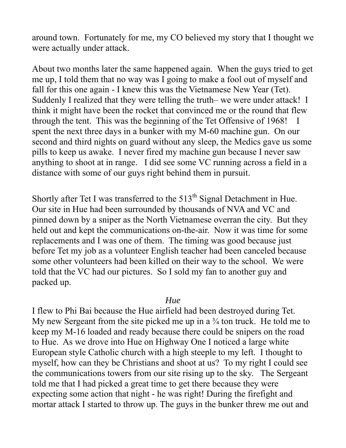around town. Fortunately for me, my CO believed my story that I thought we were actually under attack.

About two months later the same happened again. When the guys tried to get me up, I told them that no way was I going to make a fool out of myself and fall for this one again - I knew this was the Vietnamese New Year (Tet). Suddenly I realized that they were telling the truth– we were under attack! I think it might have been the rocket that convinced me or the round that flew through the tent. This was the beginning of the Tet Offensive of 1968! I spent the next three days in a bunker with my M-60 machine gun. On our second and third nights on guard without any sleep, the Medics gave us some pills to keep us awake. I never fired my machine gun because I never saw anything to shoot at in range. I did see some VC running across a field in a distance with some of our guys right behind them in pursuit.

Shortly after Tet I was transferred to the  $513<sup>th</sup>$  Signal Detachment in Hue. Our site in Hue had been surrounded by thousands of NVA and VC and pinned down by a sniper as the North Vietnamese overran the city. But they held out and kept the communications on-the-air. Now it was time for some replacements and I was one of them. The timing was good because just before Tet my job as a volunteer English teacher had been canceled because some other volunteers had been killed on their way to the school. We were told that the VC had our pictures. So I sold my fan to another guy and packed up.

#### *Hue*

I flew to Phi Bai because the Hue airfield had been destroyed during Tet. My new Sergeant from the site picked me up in a  $\frac{3}{4}$  ton truck. He told me to keep my M-16 loaded and ready because there could be snipers on the road to Hue. As we drove into Hue on Highway One I noticed a large white European style Catholic church with a high steeple to my left. I thought to myself, how can they be Christians and shoot at us? To my right I could see the communications towers from our site rising up to the sky. The Sergeant told me that I had picked a great time to get there because they were expecting some action that night - he was right! During the firefight and mortar attack I started to throw up. The guys in the bunker threw me out and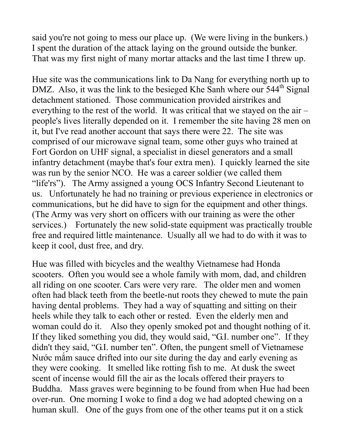said you're not going to mess our place up. (We were living in the bunkers.) I spent the duration of the attack laying on the ground outside the bunker. That was my first night of many mortar attacks and the last time I threw up.

Hue site was the communications link to Da Nang for everything north up to DMZ. Also, it was the link to the besieged Khe Sanh where our 544<sup>th</sup> Signal detachment stationed. Those communication provided airstrikes and everything to the rest of the world. It was critical that we stayed on the air – people's lives literally depended on it. I remember the site having 28 men on it, but I've read another account that says there were 22. The site was comprised of our microwave signal team, some other guys who trained at Fort Gordon on UHF signal, a specialist in diesel generators and a small infantry detachment (maybe that's four extra men). I quickly learned the site was run by the senior NCO. He was a career soldier (we called them "life'rs"). The Army assigned a young OCS Infantry Second Lieutenant to us. Unfortunately he had no training or previous experience in electronics or communications, but he did have to sign for the equipment and other things. (The Army was very short on officers with our training as were the other services.) Fortunately the new solid-state equipment was practically trouble free and required little maintenance. Usually all we had to do with it was to keep it cool, dust free, and dry.

Hue was filled with bicycles and the wealthy Vietnamese had Honda scooters. Often you would see a whole family with mom, dad, and children all riding on one scooter. Cars were very rare. The older men and women often had black teeth from the beetle-nut roots they chewed to mute the pain having dental problems. They had a way of squatting and sitting on their heels while they talk to each other or rested. Even the elderly men and woman could do it. Also they openly smoked pot and thought nothing of it. If they liked something you did, they would said, "G.I. number one". If they didn't they said, "G.I. number ten". Often, the pungent smell of Vietnamese Nước mắm sauce drifted into our site during the day and early evening as they were cooking. It smelled like rotting fish to me. At dusk the sweet scent of incense would fill the air as the locals offered their prayers to Buddha. Mass graves were beginning to be found from when Hue had been over-run. One morning I woke to find a dog we had adopted chewing on a human skull. One of the guys from one of the other teams put it on a stick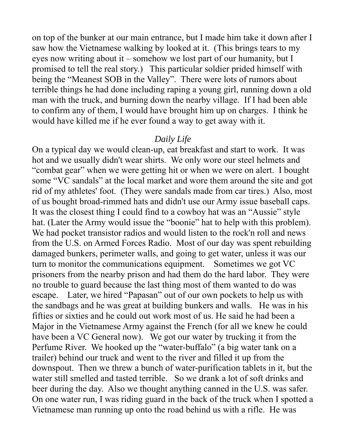on top of the bunker at our main entrance, but I made him take it down after I saw how the Vietnamese walking by looked at it. (This brings tears to my eyes now writing about it – somehow we lost part of our humanity, but I promised to tell the real story.) This particular soldier prided himself with being the "Meanest SOB in the Valley". There were lots of rumors about terrible things he had done including raping a young girl, running down a old man with the truck, and burning down the nearby village. If I had been able to confirm any of them, I would have brought him up on charges. I think he would have killed me if he ever found a way to get away with it.

#### *Daily Life*

On a typical day we would clean-up, eat breakfast and start to work. It was hot and we usually didn't wear shirts. We only wore our steel helmets and "combat gear" when we were getting hit or when we were on alert. I bought some "VC sandals" at the local market and wore them around the site and got rid of my athletes' foot. (They were sandals made from car tires.) Also, most of us bought broad-rimmed hats and didn't use our Army issue baseball caps. It was the closest thing I could find to a cowboy hat was an "Aussie" style hat. (Later the Army would issue the "boonie" hat to help with this problem). We had pocket transistor radios and would listen to the rock'n roll and news from the U.S. on Armed Forces Radio. Most of our day was spent rebuilding damaged bunkers, perimeter walls, and going to get water, unless it was our turn to monitor the communications equipment. Sometimes we got VC prisoners from the nearby prison and had them do the hard labor. They were no trouble to guard because the last thing most of them wanted to do was escape. Later, we hired "Papasan" out of our own pockets to help us with the sandbags and he was great at building bunkers and walls. He was in his fifties or sixties and he could out work most of us. He said he had been a Major in the Vietnamese Army against the French (for all we knew he could have been a VC General now). We got our water by trucking it from the Perfume River. We hooked up the "water-buffalo" (a big water tank on a trailer) behind our truck and went to the river and filled it up from the downspout. Then we threw a bunch of water-purification tablets in it, but the water still smelled and tasted terrible. So we drank a lot of soft drinks and beer during the day. Also we thought anything canned in the U.S. was safer. On one water run, I was riding guard in the back of the truck when I spotted a Vietnamese man running up onto the road behind us with a rifle. He was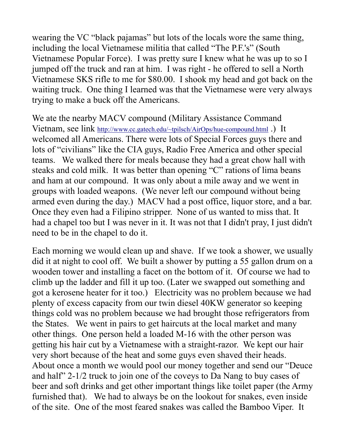wearing the VC "black pajamas" but lots of the locals wore the same thing, including the local Vietnamese militia that called "The P.F.'s" (South Vietnamese Popular Force). I was pretty sure I knew what he was up to so I jumped off the truck and ran at him. I was right - he offered to sell a North Vietnamese SKS rifle to me for \$80.00. I shook my head and got back on the waiting truck. One thing I learned was that the Vietnamese were very always trying to make a buck off the Americans.

We ate the nearby MACV compound (Military Assistance Command Vietnam, see link [http://www.cc.gatech.edu/~tpilsch/AirOps/hue-compound.html](http://www.cc.gatech.edu/%7Etpilsch/AirOps/hue-compound.html) .) It welcomed all Americans. There were lots of Special Forces guys there and lots of "civilians" like the CIA guys, Radio Free America and other special teams. We walked there for meals because they had a great chow hall with steaks and cold milk. It was better than opening "C" rations of lima beans and ham at our compound. It was only about a mile away and we went in groups with loaded weapons. (We never left our compound without being armed even during the day.) MACV had a post office, liquor store, and a bar. Once they even had a Filipino stripper. None of us wanted to miss that. It had a chapel too but I was never in it. It was not that I didn't pray, I just didn't need to be in the chapel to do it.

Each morning we would clean up and shave. If we took a shower, we usually did it at night to cool off. We built a shower by putting a 55 gallon drum on a wooden tower and installing a facet on the bottom of it. Of course we had to climb up the ladder and fill it up too. (Later we swapped out something and got a kerosene heater for it too.) Electricity was no problem because we had plenty of excess capacity from our twin diesel 40KW generator so keeping things cold was no problem because we had brought those refrigerators from the States. We went in pairs to get haircuts at the local market and many other things. One person held a loaded M-16 with the other person was getting his hair cut by a Vietnamese with a straight-razor. We kept our hair very short because of the heat and some guys even shaved their heads. About once a month we would pool our money together and send our "Deuce and half" 2-1/2 truck to join one of the coveys to Da Nang to buy cases of beer and soft drinks and get other important things like toilet paper (the Army furnished that). We had to always be on the lookout for snakes, even inside of the site. One of the most feared snakes was called the Bamboo Viper. It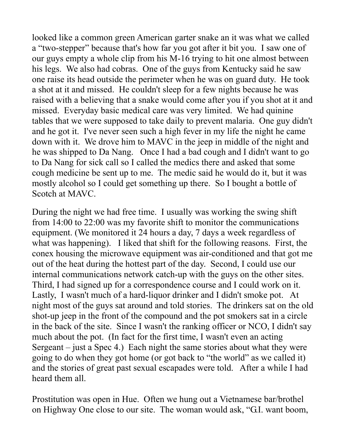looked like a common green American garter snake an it was what we called a "two-stepper" because that's how far you got after it bit you. I saw one of our guys empty a whole clip from his M-16 trying to hit one almost between his legs. We also had cobras. One of the guys from Kentucky said he saw one raise its head outside the perimeter when he was on guard duty. He took a shot at it and missed. He couldn't sleep for a few nights because he was raised with a believing that a snake would come after you if you shot at it and missed. Everyday basic medical care was very limited. We had quinine tables that we were supposed to take daily to prevent malaria. One guy didn't and he got it. I've never seen such a high fever in my life the night he came down with it. We drove him to MAVC in the jeep in middle of the night and he was shipped to Da Nang. Once I had a bad cough and I didn't want to go to Da Nang for sick call so I called the medics there and asked that some cough medicine be sent up to me. The medic said he would do it, but it was mostly alcohol so I could get something up there. So I bought a bottle of Scotch at MAVC.

During the night we had free time. I usually was working the swing shift from 14:00 to 22:00 was my favorite shift to monitor the communications equipment. (We monitored it 24 hours a day, 7 days a week regardless of what was happening). I liked that shift for the following reasons. First, the conex housing the microwave equipment was air-conditioned and that got me out of the heat during the hottest part of the day. Second, I could use our internal communications network catch-up with the guys on the other sites. Third, I had signed up for a correspondence course and I could work on it. Lastly, I wasn't much of a hard-liquor drinker and I didn't smoke pot. At night most of the guys sat around and told stories. The drinkers sat on the old shot-up jeep in the front of the compound and the pot smokers sat in a circle in the back of the site. Since I wasn't the ranking officer or NCO, I didn't say much about the pot. (In fact for the first time, I wasn't even an acting Sergeant – just a Spec 4.) Each night the same stories about what they were going to do when they got home (or got back to "the world" as we called it) and the stories of great past sexual escapades were told. After a while I had heard them all.

Prostitution was open in Hue. Often we hung out a Vietnamese bar/brothel on Highway One close to our site. The woman would ask, "G.I. want boom,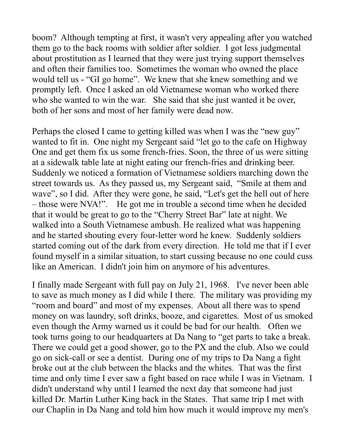boom? Although tempting at first, it wasn't very appealing after you watched them go to the back rooms with soldier after soldier. I got less judgmental about prostitution as I learned that they were just trying support themselves and often their families too. Sometimes the woman who owned the place would tell us - "GI go home". We knew that she knew something and we promptly left. Once I asked an old Vietnamese woman who worked there who she wanted to win the war. She said that she just wanted it be over, both of her sons and most of her family were dead now.

Perhaps the closed I came to getting killed was when I was the "new guy" wanted to fit in. One night my Sergeant said "let go to the cafe on Highway One and get them fix us some french-fries. Soon, the three of us were sitting at a sidewalk table late at night eating our french-fries and drinking beer. Suddenly we noticed a formation of Vietnamese soldiers marching down the street towards us. As they passed us, my Sergeant said, "Smile at them and wave", so I did. After they were gone, he said, "Let's get the hell out of here – those were NVA!". He got me in trouble a second time when he decided that it would be great to go to the "Cherry Street Bar" late at night. We walked into a South Vietnamese ambush. He realized what was happening and he started shouting every four-letter word he knew. Suddenly soldiers started coming out of the dark from every direction. He told me that if I ever found myself in a similar situation, to start cussing because no one could cuss like an American. I didn't join him on anymore of his adventures.

I finally made Sergeant with full pay on July 21, 1968. I've never been able to save as much money as I did while I there. The military was providing my "room and board" and most of my expenses. About all there was to spend money on was laundry, soft drinks, booze, and cigarettes. Most of us smoked even though the Army warned us it could be bad for our health. Often we took turns going to our headquarters at Da Nang to "get parts to take a break. There we could get a good shower, go to the PX and the club. Also we could go on sick-call or see a dentist. During one of my trips to Da Nang a fight broke out at the club between the blacks and the whites. That was the first time and only time I ever saw a fight based on race while I was in Vietnam. I didn't understand why until I learned the next day that someone had just killed Dr. Martin Luther King back in the States. That same trip I met with our Chaplin in Da Nang and told him how much it would improve my men's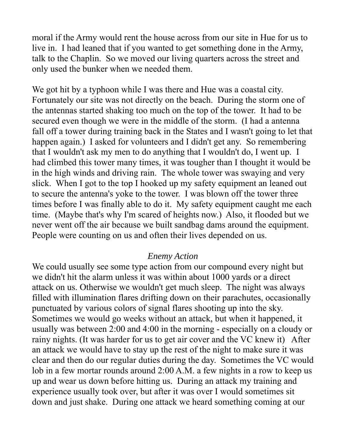moral if the Army would rent the house across from our site in Hue for us to live in. I had leaned that if you wanted to get something done in the Army, talk to the Chaplin. So we moved our living quarters across the street and only used the bunker when we needed them.

We got hit by a typhoon while I was there and Hue was a coastal city. Fortunately our site was not directly on the beach. During the storm one of the antennas started shaking too much on the top of the tower. It had to be secured even though we were in the middle of the storm. (I had a antenna fall off a tower during training back in the States and I wasn't going to let that happen again.) I asked for volunteers and I didn't get any. So remembering that I wouldn't ask my men to do anything that I wouldn't do, I went up. I had climbed this tower many times, it was tougher than I thought it would be in the high winds and driving rain. The whole tower was swaying and very slick. When I got to the top I hooked up my safety equipment an leaned out to secure the antenna's yoke to the tower. I was blown off the tower three times before I was finally able to do it. My safety equipment caught me each time. (Maybe that's why I'm scared of heights now.) Also, it flooded but we never went off the air because we built sandbag dams around the equipment. People were counting on us and often their lives depended on us.

# *Enemy Action*

We could usually see some type action from our compound every night but we didn't hit the alarm unless it was within about 1000 yards or a direct attack on us. Otherwise we wouldn't get much sleep. The night was always filled with illumination flares drifting down on their parachutes, occasionally punctuated by various colors of signal flares shooting up into the sky. Sometimes we would go weeks without an attack, but when it happened, it usually was between 2:00 and 4:00 in the morning - especially on a cloudy or rainy nights. (It was harder for us to get air cover and the VC knew it) After an attack we would have to stay up the rest of the night to make sure it was clear and then do our regular duties during the day. Sometimes the VC would lob in a few mortar rounds around 2:00 A.M. a few nights in a row to keep us up and wear us down before hitting us. During an attack my training and experience usually took over, but after it was over I would sometimes sit down and just shake. During one attack we heard something coming at our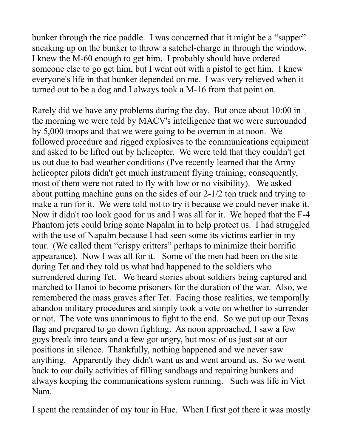bunker through the rice paddle. I was concerned that it might be a "sapper" sneaking up on the bunker to throw a satchel-charge in through the window. I knew the M-60 enough to get him. I probably should have ordered someone else to go get him, but I went out with a pistol to get him. I knew everyone's life in that bunker depended on me. I was very relieved when it turned out to be a dog and I always took a M-16 from that point on.

Rarely did we have any problems during the day. But once about 10:00 in the morning we were told by MACV's intelligence that we were surrounded by 5,000 troops and that we were going to be overrun in at noon. We followed procedure and rigged explosives to the communications equipment and asked to be lifted out by helicopter. We were told that they couldn't get us out due to bad weather conditions (I've recently learned that the Army helicopter pilots didn't get much instrument flying training; consequently, most of them were not rated to fly with low or no visibility). We asked about putting machine guns on the sides of our 2-1/2 ton truck and trying to make a run for it. We were told not to try it because we could never make it. Now it didn't too look good for us and I was all for it. We hoped that the F-4 Phantom jets could bring some Napalm in to help protect us. I had struggled with the use of Napalm because I had seen some its victims earlier in my tour. (We called them "crispy critters" perhaps to minimize their horrific appearance). Now I was all for it. Some of the men had been on the site during Tet and they told us what had happened to the soldiers who surrendered during Tet. We heard stories about soldiers being captured and marched to Hanoi to become prisoners for the duration of the war. Also, we remembered the mass graves after Tet. Facing those realities, we temporally abandon military procedures and simply took a vote on whether to surrender or not. The vote was unanimous to fight to the end. So we put up our Texas flag and prepared to go down fighting. As noon approached, I saw a few guys break into tears and a few got angry, but most of us just sat at our positions in silence. Thankfully, nothing happened and we never saw anything. Apparently they didn't want us and went around us. So we went back to our daily activities of filling sandbags and repairing bunkers and always keeping the communications system running. Such was life in Viet Nam.

I spent the remainder of my tour in Hue. When I first got there it was mostly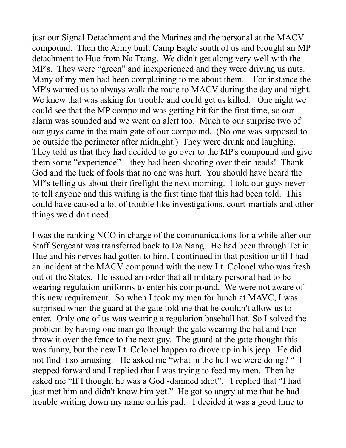just our Signal Detachment and the Marines and the personal at the MACV compound. Then the Army built Camp Eagle south of us and brought an MP detachment to Hue from Na Trang. We didn't get along very well with the MP's. They were "green" and inexperienced and they were driving us nuts. Many of my men had been complaining to me about them. For instance the MP's wanted us to always walk the route to MACV during the day and night. We knew that was asking for trouble and could get us killed. One night we could see that the MP compound was getting hit for the first time, so our alarm was sounded and we went on alert too. Much to our surprise two of our guys came in the main gate of our compound. (No one was supposed to be outside the perimeter after midnight.) They were drunk and laughing. They told us that they had decided to go over to the MP's compound and give them some "experience" – they had been shooting over their heads! Thank God and the luck of fools that no one was hurt. You should have heard the MP's telling us about their firefight the next morning. I told our guys never to tell anyone and this writing is the first time that this had been told. This could have caused a lot of trouble like investigations, court-martials and other things we didn't need.

I was the ranking NCO in charge of the communications for a while after our Staff Sergeant was transferred back to Da Nang. He had been through Tet in Hue and his nerves had gotten to him. I continued in that position until I had an incident at the MACV compound with the new Lt. Colonel who was fresh out of the States. He issued an order that all military personal had to be wearing regulation uniforms to enter his compound. We were not aware of this new requirement. So when I took my men for lunch at MAVC, I was surprised when the guard at the gate told me that he couldn't allow us to enter. Only one of us was wearing a regulation baseball hat. So I solved the problem by having one man go through the gate wearing the hat and then throw it over the fence to the next guy. The guard at the gate thought this was funny, but the new Lt. Colonel happen to drove up in his jeep. He did not find it so amusing. He asked me "what in the hell we were doing? " I stepped forward and I replied that I was trying to feed my men. Then he asked me "If I thought he was a God -damned idiot". I replied that "I had just met him and didn't know him yet." He got so angry at me that he had trouble writing down my name on his pad. I decided it was a good time to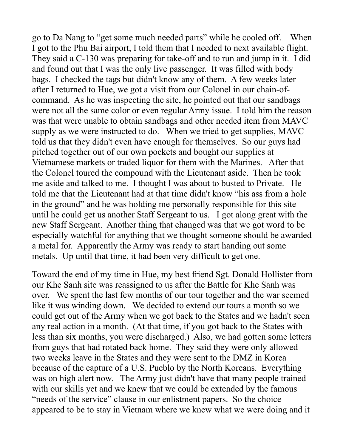go to Da Nang to "get some much needed parts" while he cooled off. When I got to the Phu Bai airport, I told them that I needed to next available flight. They said a C-130 was preparing for take-off and to run and jump in it. I did and found out that I was the only live passenger. It was filled with body bags. I checked the tags but didn't know any of them. A few weeks later after I returned to Hue, we got a visit from our Colonel in our chain-ofcommand. As he was inspecting the site, he pointed out that our sandbags were not all the same color or even regular Army issue. I told him the reason was that were unable to obtain sandbags and other needed item from MAVC supply as we were instructed to do. When we tried to get supplies, MAVC told us that they didn't even have enough for themselves. So our guys had pitched together out of our own pockets and bought our supplies at Vietnamese markets or traded liquor for them with the Marines. After that the Colonel toured the compound with the Lieutenant aside. Then he took me aside and talked to me. I thought I was about to busted to Private. He told me that the Lieutenant had at that time didn't know "his ass from a hole in the ground" and he was holding me personally responsible for this site until he could get us another Staff Sergeant to us. I got along great with the new Staff Sergeant. Another thing that changed was that we got word to be especially watchful for anything that we thought someone should be awarded a metal for. Apparently the Army was ready to start handing out some metals. Up until that time, it had been very difficult to get one.

Toward the end of my time in Hue, my best friend Sgt. Donald Hollister from our Khe Sanh site was reassigned to us after the Battle for Khe Sanh was over. We spent the last few months of our tour together and the war seemed like it was winding down. We decided to extend our tours a month so we could get out of the Army when we got back to the States and we hadn't seen any real action in a month. (At that time, if you got back to the States with less than six months, you were discharged.) Also, we had gotten some letters from guys that had rotated back home. They said they were only allowed two weeks leave in the States and they were sent to the DMZ in Korea because of the capture of a U.S. Pueblo by the North Koreans. Everything was on high alert now. The Army just didn't have that many people trained with our skills yet and we knew that we could be extended by the famous "needs of the service" clause in our enlistment papers. So the choice appeared to be to stay in Vietnam where we knew what we were doing and it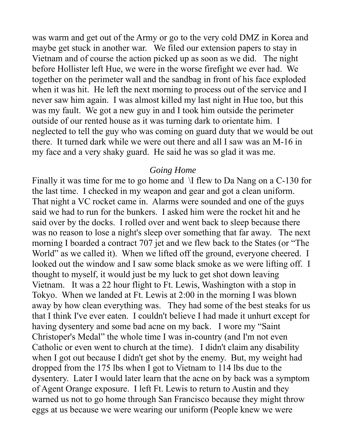was warm and get out of the Army or go to the very cold DMZ in Korea and maybe get stuck in another war. We filed our extension papers to stay in Vietnam and of course the action picked up as soon as we did. The night before Hollister left Hue, we were in the worse firefight we ever had. We together on the perimeter wall and the sandbag in front of his face exploded when it was hit. He left the next morning to process out of the service and I never saw him again. I was almost killed my last night in Hue too, but this was my fault. We got a new guy in and I took him outside the perimeter outside of our rented house as it was turning dark to orientate him. I neglected to tell the guy who was coming on guard duty that we would be out there. It turned dark while we were out there and all I saw was an M-16 in my face and a very shaky guard. He said he was so glad it was me.

## *Going Home*

Finally it was time for me to go home and \I flew to Da Nang on a C-130 for the last time. I checked in my weapon and gear and got a clean uniform. That night a VC rocket came in. Alarms were sounded and one of the guys said we had to run for the bunkers. I asked him were the rocket hit and he said over by the docks. I rolled over and went back to sleep because there was no reason to lose a night's sleep over something that far away. The next morning I boarded a contract 707 jet and we flew back to the States (or "The World" as we called it). When we lifted off the ground, everyone cheered. I looked out the window and I saw some black smoke as we were lifting off. I thought to myself, it would just be my luck to get shot down leaving Vietnam. It was a 22 hour flight to Ft. Lewis, Washington with a stop in Tokyo. When we landed at Ft. Lewis at 2:00 in the morning I was blown away by how clean everything was. They had some of the best steaks for us that I think I've ever eaten. I couldn't believe I had made it unhurt except for having dysentery and some bad acne on my back. I wore my "Saint Christoper's Medal" the whole time I was in-country (and I'm not even Catholic or even went to church at the time). I didn't claim any disability when I got out because I didn't get shot by the enemy. But, my weight had dropped from the 175 lbs when I got to Vietnam to 114 lbs due to the dysentery. Later I would later learn that the acne on by back was a symptom of Agent Orange exposure. I left Ft. Lewis to return to Austin and they warned us not to go home through San Francisco because they might throw eggs at us because we were wearing our uniform (People knew we were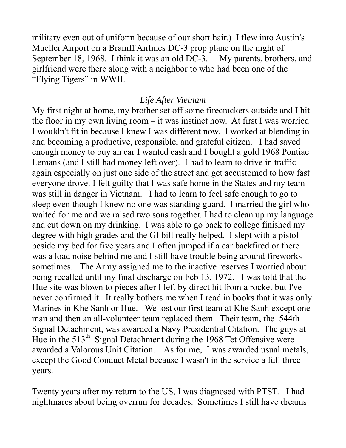military even out of uniform because of our short hair.) I flew into Austin's Mueller Airport on a Braniff Airlines DC-3 prop plane on the night of September 18, 1968. I think it was an old DC-3. My parents, brothers, and girlfriend were there along with a neighbor to who had been one of the "Flying Tigers" in WWII.

### *Life After Vietnam*

My first night at home, my brother set off some firecrackers outside and I hit the floor in my own living room – it was instinct now. At first I was worried I wouldn't fit in because I knew I was different now. I worked at blending in and becoming a productive, responsible, and grateful citizen. I had saved enough money to buy an car I wanted cash and I bought a gold 1968 Pontiac Lemans (and I still had money left over). I had to learn to drive in traffic again especially on just one side of the street and get accustomed to how fast everyone drove. I felt guilty that I was safe home in the States and my team was still in danger in Vietnam. I had to learn to feel safe enough to go to sleep even though I knew no one was standing guard. I married the girl who waited for me and we raised two sons together. I had to clean up my language and cut down on my drinking. I was able to go back to college finished my degree with high grades and the GI bill really helped. I slept with a pistol beside my bed for five years and I often jumped if a car backfired or there was a load noise behind me and I still have trouble being around fireworks sometimes. The Army assigned me to the inactive reserves I worried about being recalled until my final discharge on Feb 13, 1972. I was told that the Hue site was blown to pieces after I left by direct hit from a rocket but I've never confirmed it. It really bothers me when I read in books that it was only Marines in Khe Sanh or Hue. We lost our first team at Khe Sanh except one man and then an all-volunteer team replaced them. Their team, the 544th Signal Detachment, was awarded a Navy Presidential Citation. The guys at Hue in the  $513<sup>th</sup>$  Signal Detachment during the 1968 Tet Offensive were awarded a Valorous Unit Citation. As for me, I was awarded usual metals, except the Good Conduct Metal because I wasn't in the service a full three years.

Twenty years after my return to the US, I was diagnosed with PTST. I had nightmares about being overrun for decades. Sometimes I still have dreams